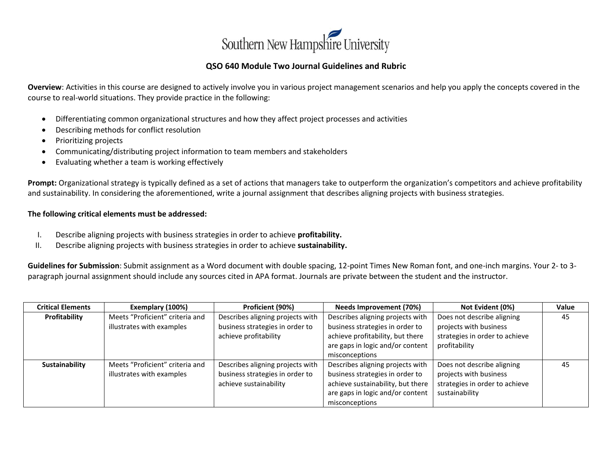

## **QSO 640 Module Two Journal Guidelines and Rubric**

**Overview**: Activities in this course are designed to actively involve you in various project management scenarios and help you apply the concepts covered in the course to real-world situations. They provide practice in the following:

- Differentiating common organizational structures and how they affect project processes and activities
- Describing methods for conflict resolution
- Prioritizing projects
- Communicating/distributing project information to team members and stakeholders
- Evaluating whether a team is working effectively

**Prompt:** Organizational strategy is typically defined as a set of actions that managers take to outperform the organization's competitors and achieve profitability and sustainability. In considering the aforementioned, write a journal assignment that describes aligning projects with business strategies.

## **The following critical elements must be addressed:**

- I. Describe aligning projects with business strategies in order to achieve **profitability.**
- II. Describe aligning projects with business strategies in order to achieve **sustainability.**

**Guidelines for Submission**: Submit assignment as a Word document with double spacing, 12-point Times New Roman font, and one-inch margins. Your 2- to 3 paragraph journal assignment should include any sources cited in APA format. Journals are private between the student and the instructor.

| <b>Critical Elements</b> | Exemplary (100%)                | Proficient (90%)                 | Needs Improvement (70%)           | Not Evident (0%)               | Value |
|--------------------------|---------------------------------|----------------------------------|-----------------------------------|--------------------------------|-------|
| Profitability            | Meets "Proficient" criteria and | Describes aligning projects with | Describes aligning projects with  | Does not describe aligning     | 45    |
|                          | illustrates with examples       | business strategies in order to  | business strategies in order to   | projects with business         |       |
|                          |                                 | achieve profitability            | achieve profitability, but there  | strategies in order to achieve |       |
|                          |                                 |                                  | are gaps in logic and/or content  | profitability                  |       |
|                          |                                 |                                  | misconceptions                    |                                |       |
| <b>Sustainability</b>    | Meets "Proficient" criteria and | Describes aligning projects with | Describes aligning projects with  | Does not describe aligning     | 45    |
|                          | illustrates with examples       | business strategies in order to  | business strategies in order to   | projects with business         |       |
|                          |                                 | achieve sustainability           | achieve sustainability, but there | strategies in order to achieve |       |
|                          |                                 |                                  | are gaps in logic and/or content  | sustainability                 |       |
|                          |                                 |                                  | misconceptions                    |                                |       |